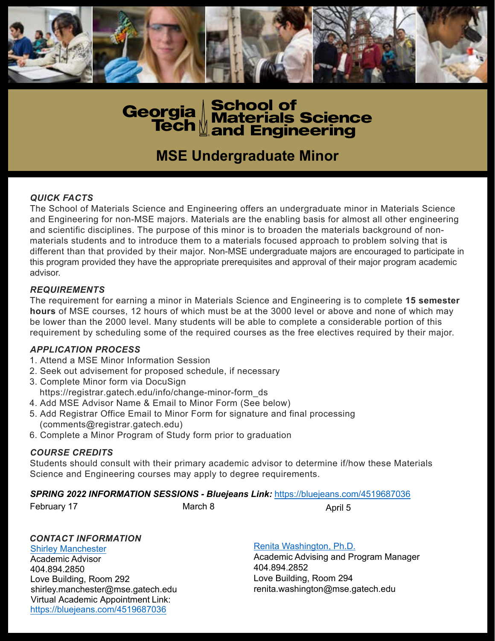



# **MSE Undergraduate Minor**

## *QUICK FACTS*

The School of Materials Science and Engineering offers an undergraduate minor in Materials Science and Engineering for non-MSE majors. Materials are the enabling basis for almost all other engineering and scientific disciplines. The purpose of this minor is to broaden the materials background of nonmaterials students and to introduce them to a materials focused approach to problem solving that is different than that provided by their major. Non-MSE undergraduate majors are encouraged to participate in this program provided they have the appropriate prerequisites and approval of their major program academic advisor.

#### *REQUIREMENTS*

The requirement for earning a minor in Materials Science and Engineering is to complete **15 semester hours** of MSE courses, 12 hours of which must be at the 3000 level or above and none of which may be lower than the 2000 level. Many students will be able to complete a considerable portion of this requirement by scheduling some of the required courses as the free electives required by their major.

#### *APPLICATION PROCESS*

- 1. Attend a MSE Minor Information Session
- 2. Seek out advisement for proposed schedule, if necessary
- 3. Complete Minor form via DocuSign
	- https://registrar.gatech.edu/info/change-minor-form\_ds
- 4. Add MSE Advisor Name & Email to Minor Form (See below)
- 5. Add Registrar Office Email to Minor Form for signature and final processing (comments@registrar.gatech.edu)
- 6. Complete a Minor Program of Study form prior to graduation

## *COURSE CREDITS*

Students should consult with their primary academic advisor to determine if/how these Materials Science and Engineering courses may apply to degree requirements.

#### *SPRING 2022 INFORMATION SESSIONS - Bluejeans Link:* <https://bluejeans.com/4519687036>

February 17 **March 8** April 5

## *CONTACT INFORMATION*

[Shirley Manchester](http://shirley.manchester@mse.gatech.edu) Academic Advisor 404.894.2850 Love Building, Room 292 shirley.manchester@mse.gatech.edu Virtual Academic Appointment Link: <https://bluejeans.com/4519687036>

[Renita Washington, Ph.D.](http://renita.washington@mse.gatech.edu)

Academic Advising and Program Manager 404.894.2852 Love Building, Room 294 renita.washington@mse.gatech.edu